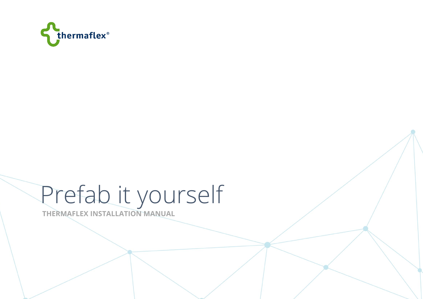

# Prefab it yourself

**THERMAFLEX INSTALLATION MANUAL**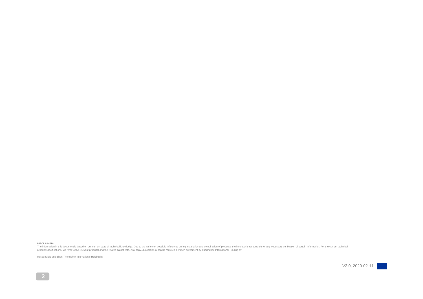#### **DISCLAIMER:**

The information in this document is based on our current state of technical knowledge. Due to the variety of possible influences during installation and combination of products, the insulator is responsible for any necessa

Responsible publisher: Thermaflex International Holding bv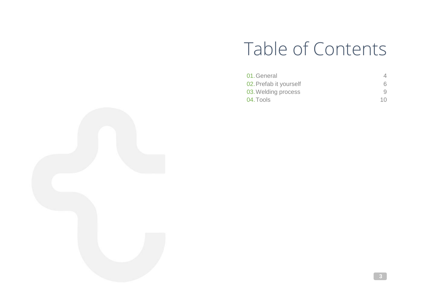# Table of Contents

| 01. General            |     |
|------------------------|-----|
| 02. Prefab it yourself | 6.  |
| 03. Welding process    |     |
| 04. Tools              | 1 O |

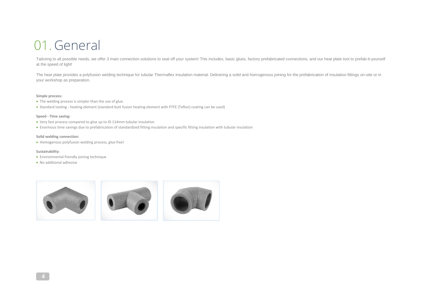# 01. General

Tailoring to all possible needs, we offer 3 main connection solutions to seal off your system! This includes, basic glues, factory prefabricated connections, and our heat plate tool to prefab-it-yourself at the speed of light!

The heat plate provides a polyfusion welding technique for tubular Thermaflex insulation material. Delivering a solid and homogenous joining for the prefabrication of insulation fittings on-site or in your workshop as preparation.

#### **Simple process:**

- The welding process is simpler than the use of glue.
- Standard tooling heating element (standard butt fusion heating element with PTFE (Teflon) coating can be used)

#### **Speed - Time saving:**

- Very fast process compared to glue up to ID 114mm tubular insulation
- Enormous time savings due to prefabrication of standardized fitting insulation and specific fitting insulation with tubular insulation

#### **Solid welding connection:**

• Homogenous polyfusion welding process, glue free!

#### **Sustainability**:

- Environmental friendly joining technique
- No additional adhesive

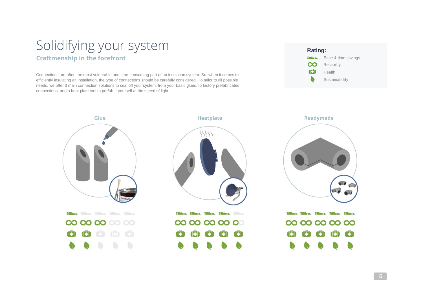## Solidifying your system **Craftmenship in the forefront**

Connections are often the most vulnerable and time-consuming part of an insulation system. So, when it comes to efficiently insulating an installation, the type of connections should be carefully considered. To tailor to all possible needs, we offer 3 main connection solutions to seal off your system: from your basic glues, to factory prefabricated connections, and a heat plate tool to prefab-it-yourself at the speed of light.



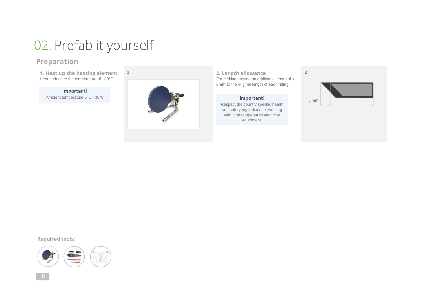# 02. Prefab it yourself

## **Preparation**

**1. Heat up the heating element** Heat surface to the temperature of 180°C.

#### **Important!**

Ambient temperature 5°C - 35°C



1. **2. Length allowance** For melting provide an additional length of + **5mm** to the original length of **each** fitting.

#### **Important!**

Respect the country specific health and safety regulations for working with high temperature electrical equipment.



2.

#### **Required tools:**



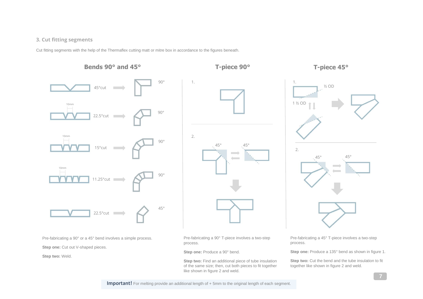#### **3. Cut fitting segments**

Cut fitting segments with the help of the Thermaflex cutting matt or mitre box in accordance to the figures beneath.

#### **Bends 90° and 45°**



Pre-fabricating a 90° or a 45° bend involves a simple process.

**Step one:** Cut out V-shaped pieces.

**Step two:** Weld.



1. ½ OD 1 ½ OD 2. 45° 45°  $\sim$ 

Pre-fabricating a 90° T-piece involves a two-step process.

#### **Step one:** Produce a 90° bend.

**Step two:** Find an additional piece of tube insulation of the same size; then, cut both pieces to fit together like shown in figure 2 and weld.

Pre-fabricating a 45° T-piece involves a two-step process.

**Step one:** Produce a 135° bend as shown in figure 1.

**Step two:** Cut the bend and the tube insulation to fit together like shown in figure 2 and weld.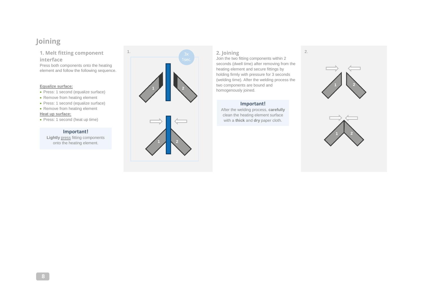## **Joining**

**1. Melt fitting component interface**

Press both components onto the heating element and follow the following sequence.

#### **Equalize surface:**

- Press: 1 second (equalize surface)
- Remove from heating element
- Press: 1 second (equalize surface)

#### • Remove from heating element **Heat up surface:**

• Press: 1 second (heat up time)

#### **Important!**

**Lightly press fitting components** onto the heating element.



Join the two fitting components within 2 seconds (dwell time) after removing from the heating element and secure fittings by holding firmly with pressure for 3 seconds (welding time). After the welding process the two components are bound and homogenously joined.

#### **Important!**

After the welding process, **carefully**  clean the heating element surface with a **thick** and **dry** paper cloth.

2.



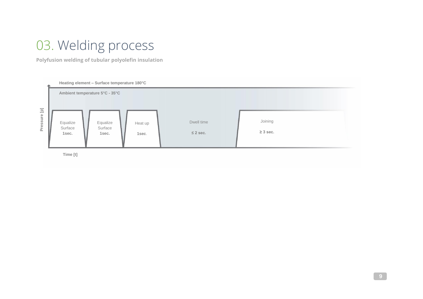# 03. Welding process

**Polyfusion welding of tubular polyolefin insulation**



**Time [t]**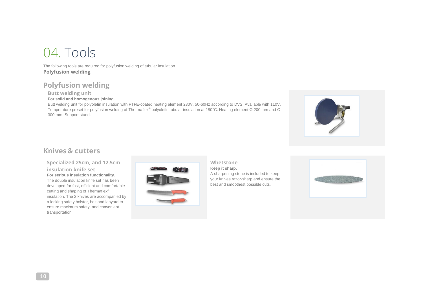# 04. Tools

The following tools are required for polyfusion welding of tubular insulation. **Polyfusion welding**

### **Polyfusion welding**

**Butt welding unit**

#### **For solid and homogenous joining.**

Butt welding unit for polyolefin insulation with PTFE-coated heating element 230V, 50-60Hz according to DVS. Available with 110V. Temperature preset for polyfusion welding of Thermaflex® polyolefin tubular insulation at 180°C. Heating element Ø 200 mm and Ø 300 mm. Support stand.



### **Knives & cutters**

**Specialized 25cm, and 12.5cm insulation knife set For serious insulation functionality.** The double insulation knife set has been developed for fast, efficient and comfortable cutting and shaping of Thermaflex® insulation. The 2 knives are accompanied by a locking safety holster, belt and lanyard to ensure maximum safety, and convenient transportation.



### **Whetstone**

**Keep it sharp.**  A sharpening stone is included to keep your knives razor-sharp and ensure the best and smoothest possible cuts.

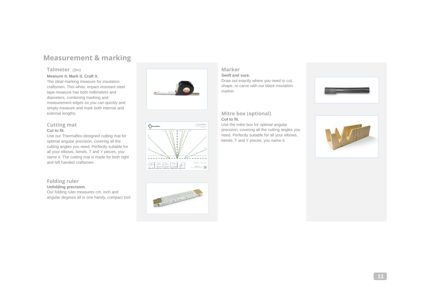### **Measurement & marking**

#### **Talmeter** (3m)

#### **Measure it. Mark it. Craft it.**

The ideal marking measure for insulation craftsmen. This white, impact-resistant steel tape measure has both millimeters and diameters, combining marking and measurement edges so you can quickly and simply measure and mark both internal and external lengths.

#### **Cutting mat Cut to fit.**

Use our Thermaflex-designed cutting mat for optimal angular precision, covering all the cutting angles you need. Perfectly suitable for all your elbows, bends, T and Y pieces, you name it. The cutting mat is made for both right and left handed craftsmen.

#### **Folding ruler Unfolding precision.**

Our folding ruler measures cm, inch and angular degrees all in one handy, compact tool.





# 

#### **Marker**

**Swift and sure.** 

Draw out exactly where you need to cut, shape, or carve with our black insulation marker.



#### **Mitre box (optional) Cut to fit.**

Use the mitre box for optimal angular precision, covering all the cutting angles you need. Perfectly suitable for all your elbows, bends, T and Y pieces, you name it.